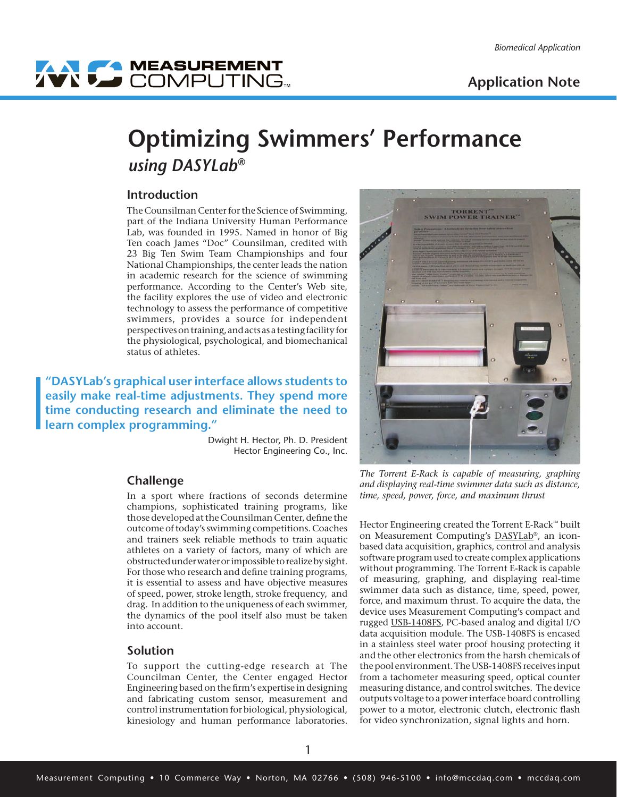# WY COMPUTING

# **Optimizing Swimmers' Performance**  *using DASYLab®*

# **Introduction**

The Counsilman Center for the Science of Swimming, part of the Indiana University Human Performance Lab, was founded in 1995. Named in honor of Big Ten coach James "Doc" Counsilman, credited with 23 Big Ten Swim Team Championships and four National Championships, the center leads the nation in academic research for the science of swimming performance. According to the Center's Web site, the facility explores the use of video and electronic technology to assess the performance of competitive swimmers, provides a source for independent perspectives on training, and acts as a testing facility for the physiological, psychological, and biomechanical status of athletes.

**"DASYLab's graphical user interface allows students to easily make real-time adjustments. They spend more time conducting research and eliminate the need to learn complex programming."**

> Dwight H. Hector, Ph. D. President Hector Engineering Co., Inc.

# **Challenge**

In a sport where fractions of seconds determine champions, sophisticated training programs, like those developed at the Counsilman Center, define the outcome of today's swimming competitions. Coaches and trainers seek reliable methods to train aquatic athletes on a variety of factors, many of which are obstructed under water or impossible to realize by sight. For those who research and define training programs, it is essential to assess and have objective measures of speed, power, stroke length, stroke frequency, and drag. In addition to the uniqueness of each swimmer, the dynamics of the pool itself also must be taken into account.

#### **Solution**

To support the cutting-edge research at The Councilman Center, the Center engaged Hector Engineering based on the firm's expertise in designing and fabricating custom sensor, measurement and control instrumentation for biological, physiological, kinesiology and human performance laboratories.



*The Torrent E-Rack is capable of measuring, graphing and displaying real-time swimmer data such as distance, time, speed, power, force, and maximum thrust*

Hector Engineering created the Torrent E-Rack™ built on Measurement Computing's [DASYLab®](http://www.mccdaq.com/products/dasylab.htm), an iconbased data acquisition, graphics, control and analysis software program used to create complex applications without programming. The Torrent E-Rack is capable of measuring, graphing, and displaying real-time swimmer data such as distance, time, speed, power, force, and maximum thrust. To acquire the data, the device uses Measurement Computing's compact and rugged [USB-1408FS,](http://www.mccdaq.com/usb-data-acquisition/USB-1408FS.aspx) PC-based analog and digital I/O data acquisition module. The USB-1408FS is encased in a stainless steel water proof housing protecting it and the other electronics from the harsh chemicals of the pool environment. The USB-1408FS receives input from a tachometer measuring speed, optical counter measuring distance, and control switches. The device outputs voltage to a power interface board controlling power to a motor, electronic clutch, electronic flash for video synchronization, signal lights and horn.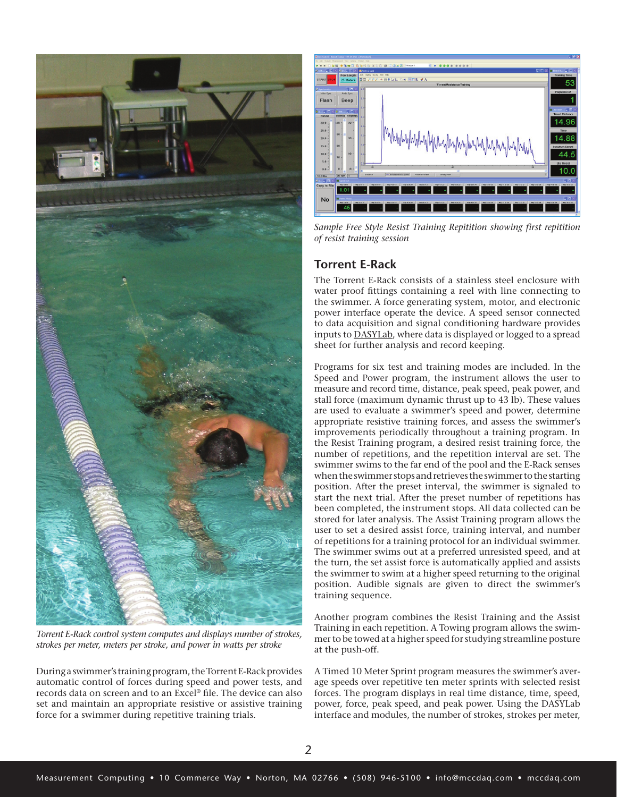

*Torrent E-Rack control system computes and displays number of strokes, strokes per meter, meters per stroke, and power in watts per stroke* 

During a swimmer's training program, the Torrent E-Rack provides automatic control of forces during speed and power tests, and records data on screen and to an Excel® file. The device can also set and maintain an appropriate resistive or assistive training force for a swimmer during repetitive training trials.



*Sample Free Style Resist Training Repitition showing first repitition of resist training session*

# **Torrent E-Rack**

The Torrent E-Rack consists of a stainless steel enclosure with water proof fittings containing a reel with line connecting to the swimmer. A force generating system, motor, and electronic power interface operate the device. A speed sensor connected to data acquisition and signal conditioning hardware provides inputs to [DASYLab,](http://www.mccdaq.com/products/dasylab.htm) where data is displayed or logged to a spread sheet for further analysis and record keeping.

Programs for six test and training modes are included. In the Speed and Power program, the instrument allows the user to measure and record time, distance, peak speed, peak power, and stall force (maximum dynamic thrust up to 43 lb). These values are used to evaluate a swimmer's speed and power, determine appropriate resistive training forces, and assess the swimmer's improvements periodically throughout a training program. In the Resist Training program, a desired resist training force, the number of repetitions, and the repetition interval are set. The swimmer swims to the far end of the pool and the E-Rack senses when the swimmer stops and retrieves the swimmer to the starting position. After the preset interval, the swimmer is signaled to start the next trial. After the preset number of repetitions has been completed, the instrument stops. All data collected can be stored for later analysis. The Assist Training program allows the user to set a desired assist force, training interval, and number of repetitions for a training protocol for an individual swimmer. The swimmer swims out at a preferred unresisted speed, and at the turn, the set assist force is automatically applied and assists the swimmer to swim at a higher speed returning to the original position. Audible signals are given to direct the swimmer's training sequence.

Another program combines the Resist Training and the Assist Training in each repetition. A Towing program allows the swimmer to be towed at a higher speed for studying streamline posture at the push-off.

A Timed 10 Meter Sprint program measures the swimmer's average speeds over repetitive ten meter sprints with selected resist forces. The program displays in real time distance, time, speed, power, force, peak speed, and peak power. Using the DASYLab interface and modules, the number of strokes, strokes per meter,